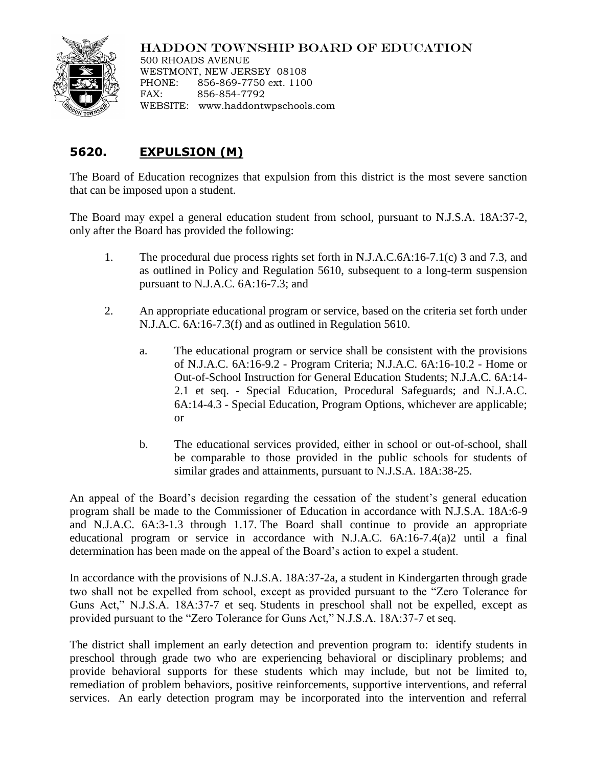## HADDON TOWNSHIP BOARD OF EDUCATION



500 RHOADS AVENUE WESTMONT, NEW JERSEY 08108 PHONE: 856-869-7750 ext. 1100 FAX: 856-854-7792 WEBSITE: www.haddontwpschools.com

## **5620. EXPULSION (M)**

The Board of Education recognizes that expulsion from this district is the most severe sanction that can be imposed upon a student.

The Board may expel a general education student from school, pursuant to N.J.S.A. 18A:37-2, only after the Board has provided the following:

- 1. The procedural due process rights set forth in N.J.A.C.6A:16-7.1(c) 3 and 7.3, and as outlined in Policy and Regulation 5610, subsequent to a long-term suspension pursuant to N.J.A.C. 6A:16-7.3; and
- 2. An appropriate educational program or service, based on the criteria set forth under N.J.A.C. 6A:16-7.3(f) and as outlined in Regulation 5610.
	- a. The educational program or service shall be consistent with the provisions of N.J.A.C. 6A:16-9.2 - Program Criteria; N.J.A.C. 6A:16-10.2 - Home or Out-of-School Instruction for General Education Students; N.J.A.C. 6A:14- 2.1 et seq. - Special Education, Procedural Safeguards; and N.J.A.C. 6A:14-4.3 - Special Education, Program Options, whichever are applicable; or
	- b. The educational services provided, either in school or out-of-school, shall be comparable to those provided in the public schools for students of similar grades and attainments, pursuant to N.J.S.A. 18A:38-25.

An appeal of the Board's decision regarding the cessation of the student's general education program shall be made to the Commissioner of Education in accordance with N.J.S.A. 18A:6-9 and N.J.A.C. 6A:3-1.3 through 1.17. The Board shall continue to provide an appropriate educational program or service in accordance with N.J.A.C. 6A:16-7.4(a)2 until a final determination has been made on the appeal of the Board's action to expel a student.

In accordance with the provisions of N.J.S.A. 18A:37-2a, a student in Kindergarten through grade two shall not be expelled from school, except as provided pursuant to the "Zero Tolerance for Guns Act," N.J.S.A. 18A:37-7 et seq. Students in preschool shall not be expelled, except as provided pursuant to the "Zero Tolerance for Guns Act," N.J.S.A. 18A:37-7 et seq.

The district shall implement an early detection and prevention program to: identify students in preschool through grade two who are experiencing behavioral or disciplinary problems; and provide behavioral supports for these students which may include, but not be limited to, remediation of problem behaviors, positive reinforcements, supportive interventions, and referral services. An early detection program may be incorporated into the intervention and referral